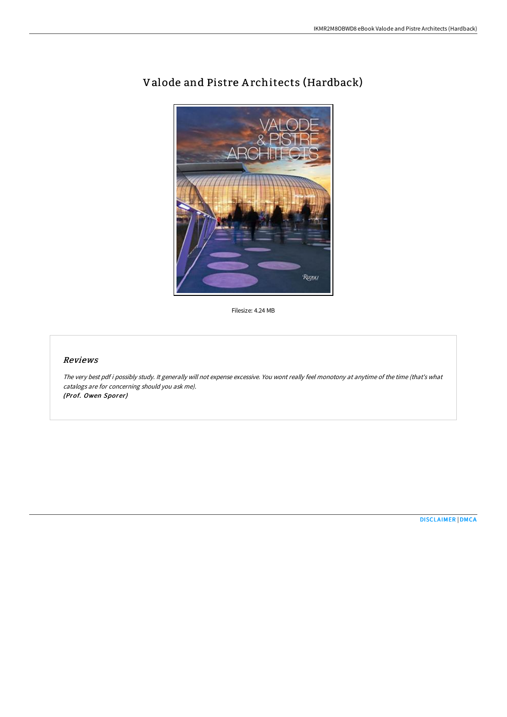

## Valode and Pistre A rchitects (Hardback)

Filesize: 4.24 MB

## Reviews

The very best pdf i possibly study. It generally will not expense excessive. You wont really feel monotony at anytime of the time (that's what catalogs are for concerning should you ask me). (Prof. Owen Sporer)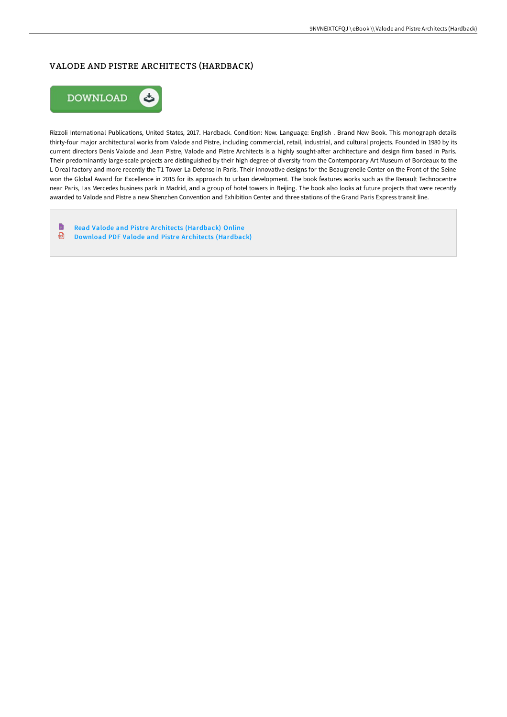## VALODE AND PISTRE ARCHITECTS (HARDBACK)



Rizzoli International Publications, United States, 2017. Hardback. Condition: New. Language: English . Brand New Book. This monograph details thirty-four major architectural works from Valode and Pistre, including commercial, retail, industrial, and cultural projects. Founded in 1980 by its current directors Denis Valode and Jean Pistre, Valode and Pistre Architects is a highly sought-after architecture and design firm based in Paris. Their predominantly large-scale projects are distinguished by their high degree of diversity from the Contemporary Art Museum of Bordeaux to the L Oreal factory and more recently the T1 Tower La Defense in Paris. Their innovative designs for the Beaugrenelle Center on the Front of the Seine won the Global Award for Excellence in 2015 for its approach to urban development. The book features works such as the Renault Technocentre near Paris, Las Mercedes business park in Madrid, and a group of hotel towers in Beijing. The book also looks at future projects that were recently awarded to Valode and Pistre a new Shenzhen Convention and Exhibition Center and three stations of the Grand Paris Express transit line.

D Read Valode and Pistre Ar chitects [\(Hardback\)](http://www.bookdirs.com/valode-and-pistre-architects-hardback.html) Online Download PDF Valode and Pistre Ar chitects [\(Hardback\)](http://www.bookdirs.com/valode-and-pistre-architects-hardback.html)